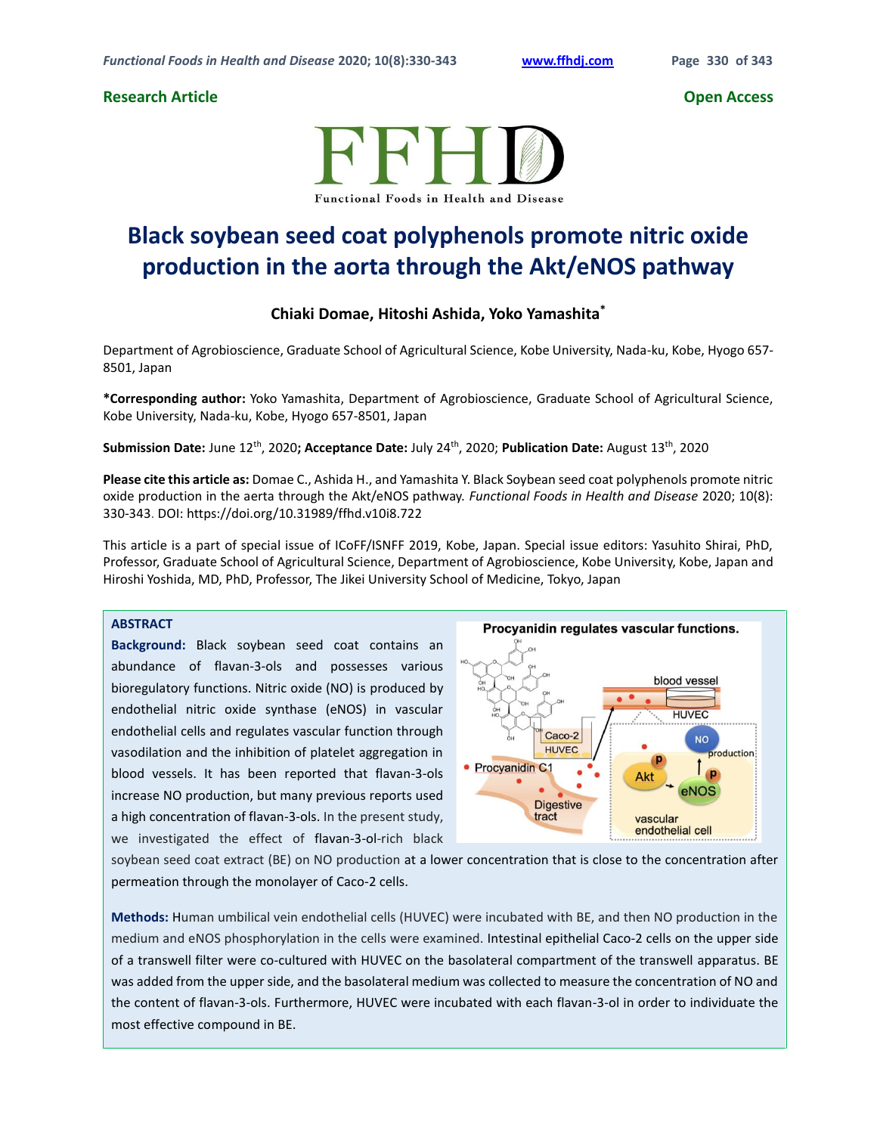## **Research Article Open Access**



# **Black soybean seed coat polyphenols promote nitric oxide production in the aorta through the Akt/eNOS pathway**

## **Chiaki Domae, Hitoshi Ashida, Yoko Yamashita\***

Department of Agrobioscience, Graduate School of Agricultural Science, Kobe University, Nada-ku, Kobe, Hyogo 657- 8501, Japan

**\*Corresponding author:** Yoko Yamashita, Department of Agrobioscience, Graduate School of Agricultural Science, Kobe University, Nada-ku, Kobe, Hyogo 657-8501, Japan

**Submission Date:** June 12th, 2020**; Acceptance Date:** July 24th, 2020; **Publication Date:** August 13th, 2020

**Please cite this article as:** Domae C., Ashida H., and Yamashita Y. Black Soybean seed coat polyphenols promote nitric oxide production in the aerta through the Akt/eNOS pathway. *Functional Foods in Health and Disease* 2020; 10(8): 330-343. DOI: https://doi.org/10.31989/ffhd.v10i8.722

This article is a part of special issue of ICoFF/ISNFF 2019, Kobe, Japan. Special issue editors: Yasuhito Shirai, PhD, Professor, Graduate School of Agricultural Science, Department of Agrobioscience, Kobe University, Kobe, Japan and Hiroshi Yoshida, MD, PhD, Professor, The Jikei University School of Medicine, Tokyo, Japan

### **ABSTRACT**

**Background:** Black soybean seed coat contains an abundance of flavan-3-ols and possesses various bioregulatory functions. Nitric oxide (NO) is produced by endothelial nitric oxide synthase (eNOS) in vascular endothelial cells and regulates vascular function through vasodilation and the inhibition of platelet aggregation in blood vessels. It has been reported that flavan-3-ols increase NO production, but many previous reports used a high concentration of flavan-3-ols. In the present study, we investigated the effect of flavan-3-ol-rich black



soybean seed coat extract (BE) on NO production at a lower concentration that is close to the concentration after permeation through the monolayer of Caco-2 cells.

**Methods:** Human umbilical vein endothelial cells (HUVEC) were incubated with BE, and then NO production in the medium and eNOS phosphorylation in the cells were examined. Intestinal epithelial Caco-2 cells on the upper side of a transwell filter were co-cultured with HUVEC on the basolateral compartment of the transwell apparatus. BE was added from the upper side, and the basolateral medium was collected to measure the concentration of NO and the content of flavan-3-ols. Furthermore, HUVEC were incubated with each flavan-3-ol in order to individuate the most effective compound in BE.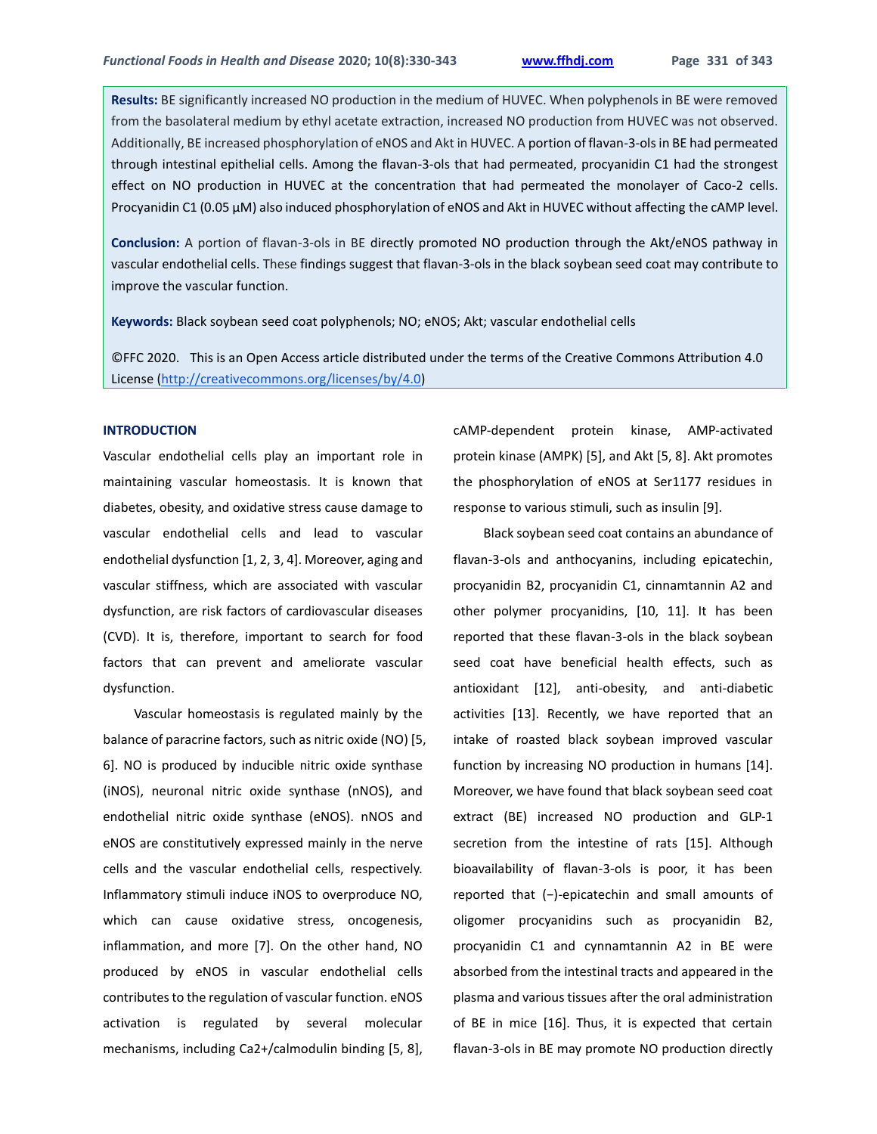**Results:** BE significantly increased NO production in the medium of HUVEC. When polyphenols in BE were removed from the basolateral medium by ethyl acetate extraction, increased NO production from HUVEC was not observed. Additionally, BE increased phosphorylation of eNOS and Akt in HUVEC. A portion of flavan-3-ols in BE had permeated through intestinal epithelial cells. Among the flavan-3-ols that had permeated, procyanidin C1 had the strongest effect on NO production in HUVEC at the concentration that had permeated the monolayer of Caco-2 cells. Procyanidin C1 (0.05  $\mu$ M) also induced phosphorylation of eNOS and Akt in HUVEC without affecting the cAMP level.

**Conclusion:** A portion of flavan-3-ols in BE directly promoted NO production through the Akt/eNOS pathway in vascular endothelial cells. These findings suggest that flavan-3-ols in the black soybean seed coat may contribute to improve the vascular function.

**Keywords:** Black soybean seed coat polyphenols; NO; eNOS; Akt; vascular endothelial cells

©FFC 2020. This is an Open Access article distributed under the terms of the Creative Commons Attribution 4.0 License [\(http://creativecommons.org/licenses/by/4.0\)](http://creativecommons.org/licenses/by/4.0)

#### **INTRODUCTION**

Vascular endothelial cells play an important role in maintaining vascular homeostasis. It is known that diabetes, obesity, and oxidative stress cause damage to vascular endothelial cells and lead to vascular endothelial dysfunction [1, 2, 3, 4]. Moreover, aging and vascular stiffness, which are associated with vascular dysfunction, are risk factors of cardiovascular diseases (CVD). It is, therefore, important to search for food factors that can prevent and ameliorate vascular dysfunction.

Vascular homeostasis is regulated mainly by the balance of paracrine factors, such as nitric oxide (NO) [5, 6]. NO is produced by inducible nitric oxide synthase (iNOS), neuronal nitric oxide synthase (nNOS), and endothelial nitric oxide synthase (eNOS). nNOS and eNOS are constitutively expressed mainly in the nerve cells and the vascular endothelial cells, respectively. Inflammatory stimuli induce iNOS to overproduce NO, which can cause oxidative stress, oncogenesis, inflammation, and more [7]. On the other hand, NO produced by eNOS in vascular endothelial cells contributes to the regulation of vascular function. eNOS activation is regulated by several molecular mechanisms, including Ca2+/calmodulin binding [5, 8],

cAMP-dependent protein kinase, AMP-activated protein kinase (AMPK) [5], and Akt [5, 8]. Akt promotes the phosphorylation of eNOS at Ser1177 residues in response to various stimuli, such as insulin [9].

Black soybean seed coat contains an abundance of flavan-3-ols and anthocyanins, including epicatechin, procyanidin B2, procyanidin C1, cinnamtannin A2 and other polymer procyanidins, [10, 11]. It has been reported that these flavan-3-ols in the black soybean seed coat have beneficial health effects, such as antioxidant [12], anti-obesity, and anti-diabetic activities [13]. Recently, we have reported that an intake of roasted black soybean improved vascular function by increasing NO production in humans [14]. Moreover, we have found that black soybean seed coat extract (BE) increased NO production and GLP-1 secretion from the intestine of rats [15]. Although bioavailability of flavan-3-ols is poor, it has been reported that (−)-epicatechin and small amounts of oligomer procyanidins such as procyanidin B2, procyanidin C1 and cynnamtannin A2 in BE were absorbed from the intestinal tracts and appeared in the plasma and various tissues after the oral administration of BE in mice [16]. Thus, it is expected that certain flavan-3-ols in BE may promote NO production directly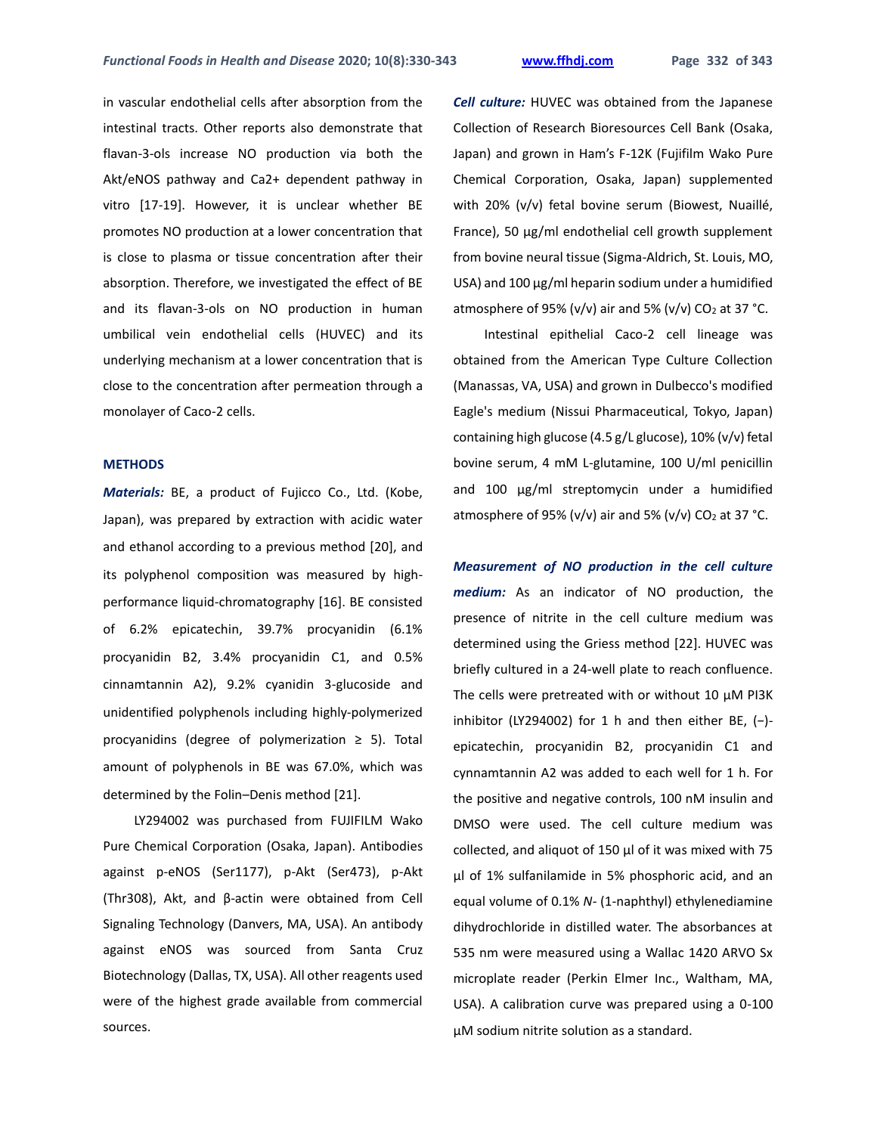in vascular endothelial cells after absorption from the intestinal tracts. Other reports also demonstrate that flavan-3-ols increase NO production via both the Akt/eNOS pathway and Ca2+ dependent pathway in vitro [17-19]. However, it is unclear whether BE promotes NO production at a lower concentration that is close to plasma or tissue concentration after their absorption. Therefore, we investigated the effect of BE and its flavan-3-ols on NO production in human umbilical vein endothelial cells (HUVEC) and its underlying mechanism at a lower concentration that is close to the concentration after permeation through a monolayer of Caco-2 cells.

#### **METHODS**

*Materials:* BE, a product of Fujicco Co., Ltd. (Kobe, Japan), was prepared by extraction with acidic water and ethanol according to a previous method [20], and its polyphenol composition was measured by highperformance liquid-chromatography [16]. BE consisted of 6.2% epicatechin, 39.7% procyanidin (6.1% procyanidin B2, 3.4% procyanidin C1, and 0.5% cinnamtannin A2), 9.2% cyanidin 3-glucoside and unidentified polyphenols including highly-polymerized procyanidins (degree of polymerization ≥ 5). Total amount of polyphenols in BE was 67.0%, which was determined by the Folin–Denis method [21].

LY294002 was purchased from FUJIFILM Wako Pure Chemical Corporation (Osaka, Japan). Antibodies against p-eNOS (Ser1177), p-Akt (Ser473), p-Akt (Thr308), Akt, and β-actin were obtained from Cell Signaling Technology (Danvers, MA, USA). An antibody against eNOS was sourced from Santa Cruz Biotechnology (Dallas, TX, USA). All other reagents used were of the highest grade available from commercial sources.

*Cell culture:* HUVEC was obtained from the Japanese Collection of Research Bioresources Cell Bank (Osaka, Japan) and grown in Ham's F-12K (Fujifilm Wako Pure Chemical Corporation, Osaka, Japan) supplemented with 20% (v/v) fetal bovine serum (Biowest, Nuaillé, France), 50 μg/ml endothelial cell growth supplement from bovine neural tissue (Sigma-Aldrich, St. Louis, MO, USA) and 100 μg/ml heparin sodium under a humidified atmosphere of 95% (v/v) air and 5% (v/v) CO<sub>2</sub> at 37 °C.

Intestinal epithelial Caco-2 cell lineage was obtained from the American Type Culture Collection (Manassas, VA, USA) and grown in Dulbecco's modified Eagle's medium (Nissui Pharmaceutical, Tokyo, Japan) containing high glucose (4.5 g/L glucose), 10% (v/v) fetal bovine serum, 4 mM L-glutamine, 100 U/ml penicillin and 100 µg/ml streptomycin under a humidified atmosphere of 95% (v/v) air and 5% (v/v) CO<sub>2</sub> at 37 °C.

*Measurement of NO production in the cell culture medium:* As an indicator of NO production, the presence of nitrite in the cell culture medium was determined using the Griess method [22]. HUVEC was briefly cultured in a 24-well plate to reach confluence. The cells were pretreated with or without 10 μM PI3K inhibitor (LY294002) for 1 h and then either BE,  $(-)$ epicatechin, procyanidin B2, procyanidin C1 and cynnamtannin A2 was added to each well for 1 h. For the positive and negative controls, 100 nM insulin and DMSO were used. The cell culture medium was collected, and aliquot of 150 μl of it was mixed with 75 μl of 1% sulfanilamide in 5% phosphoric acid, and an equal volume of 0.1% *N*- (1-naphthyl) ethylenediamine dihydrochloride in distilled water. The absorbances at 535 nm were measured using a Wallac 1420 ARVO Sx microplate reader (Perkin Elmer Inc., Waltham, MA, USA). A calibration curve was prepared using a 0-100 μM sodium nitrite solution as a standard.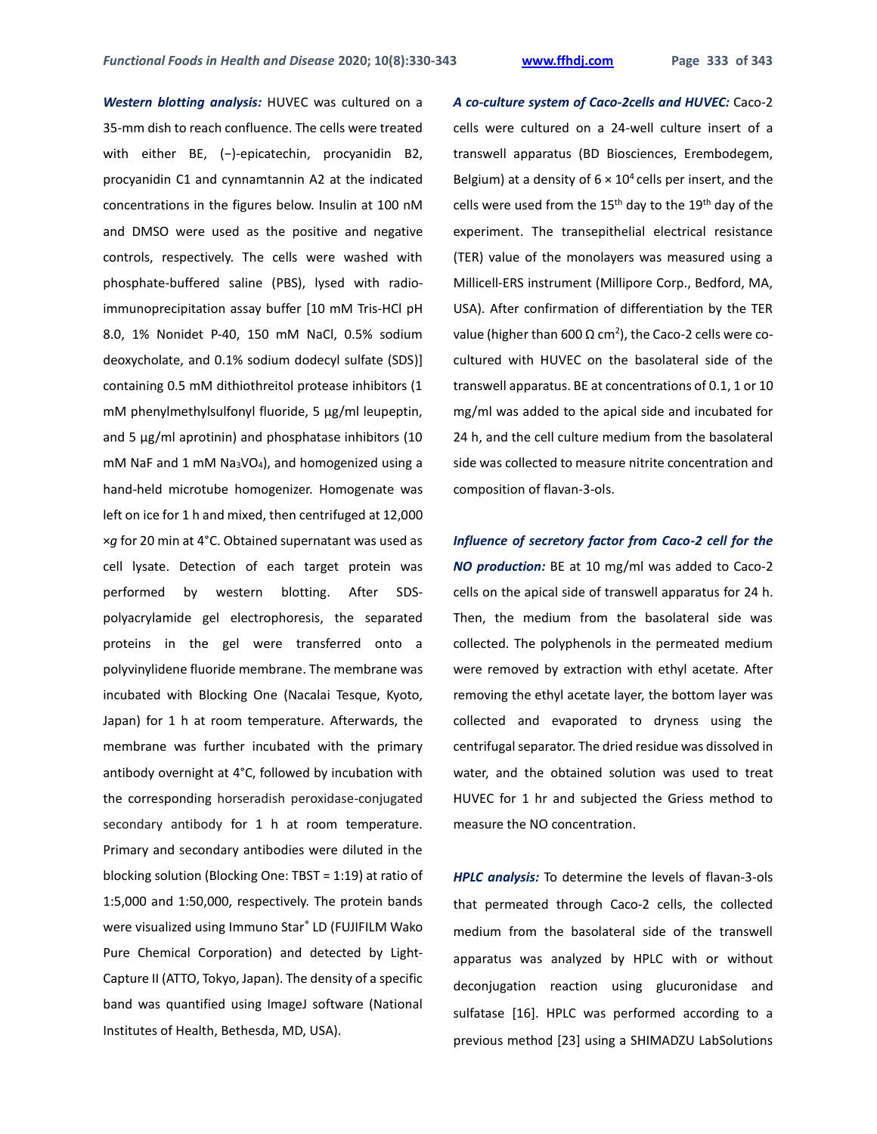*Western blotting analysis:* HUVEC was cultured on a 35-mm dish to reach confluence. The cells were treated with either BE, (−)-epicatechin, procyanidin B2, procyanidin C1 and cynnamtannin A2 at the indicated concentrations in the figures below. Insulin at 100 nM and DMSO were used as the positive and negative controls, respectively. The cells were washed with phosphate-buffered saline (PBS), lysed with radioimmunoprecipitation assay buffer [10 mM Tris-HCl pH 8.0, 1% Nonidet P-40, 150 mM NaCl, 0.5% sodium deoxycholate, and 0.1% sodium dodecyl sulfate (SDS)] containing 0.5 mM dithiothreitol protease inhibitors (1 mM phenylmethylsulfonyl fluoride, 5 µg/ml leupeptin, and 5  $\mu$ g/ml aprotinin) and phosphatase inhibitors (10 mM NaF and 1 mM Na3VO4), and homogenized using a hand-held microtube homogenizer. Homogenate was left on ice for 1 h and mixed, then centrifuged at 12,000 ×*g* for 20 min at 4°C. Obtained supernatant was used as cell lysate. Detection of each target protein was performed by western blotting. After SDSpolyacrylamide gel electrophoresis, the separated proteins in the gel were transferred onto a polyvinylidene fluoride membrane. The membrane was incubated with Blocking One (Nacalai Tesque, Kyoto, Japan) for 1 h at room temperature. Afterwards, the membrane was further incubated with the primary antibody overnight at 4°C, followed by incubation with the corresponding horseradish peroxidase-conjugated secondary antibody for 1 h at room temperature. Primary and secondary antibodies were diluted in the blocking solution (Blocking One: TBST = 1:19) at ratio of 1:5,000 and 1:50,000, respectively. The protein bands were visualized using Immuno Star® LD (FUJIFILM Wako Pure Chemical Corporation) and detected by Light-Capture II (ATTO, Tokyo, Japan). The density of a specific band was quantified using ImageJ software (National Institutes of Health, Bethesda, MD, USA).

*A co-culture system of Caco-2cells and HUVEC:* Caco-2 cells were cultured on a 24-well culture insert of a transwell apparatus (BD Biosciences, Erembodegem, Belgium) at a density of  $6 \times 10^4$  cells per insert, and the cells were used from the 15<sup>th</sup> day to the 19<sup>th</sup> day of the experiment. The transepithelial electrical resistance (TER) value of the monolayers was measured using a Millicell-ERS instrument (Millipore Corp., Bedford, MA, USA). After confirmation of differentiation by the TER value (higher than 600 Ω cm²), the Caco-2 cells were cocultured with HUVEC on the basolateral side of the transwell apparatus. BE at concentrations of 0.1, 1 or 10 mg/ml was added to the apical side and incubated for 24 h, and the cell culture medium from the basolateral side was collected to measure nitrite concentration and composition of flavan-3-ols.

*Influence of secretory factor from Caco-2 cell for the NO production:* BE at 10 mg/ml was added to Caco-2 cells on the apical side of transwell apparatus for 24 h. Then, the medium from the basolateral side was collected. The polyphenols in the permeated medium were removed by extraction with ethyl acetate. After removing the ethyl acetate layer, the bottom layer was collected and evaporated to dryness using the centrifugal separator. The dried residue was dissolved in water, and the obtained solution was used to treat HUVEC for 1 hr and subjected the Griess method to measure the NO concentration.

*HPLC analysis:* To determine the levels of flavan-3-ols that permeated through Caco-2 cells, the collected medium from the basolateral side of the transwell apparatus was analyzed by HPLC with or without deconjugation reaction using glucuronidase and sulfatase [16]. HPLC was performed according to a previous method [23] using a SHIMADZU LabSolutions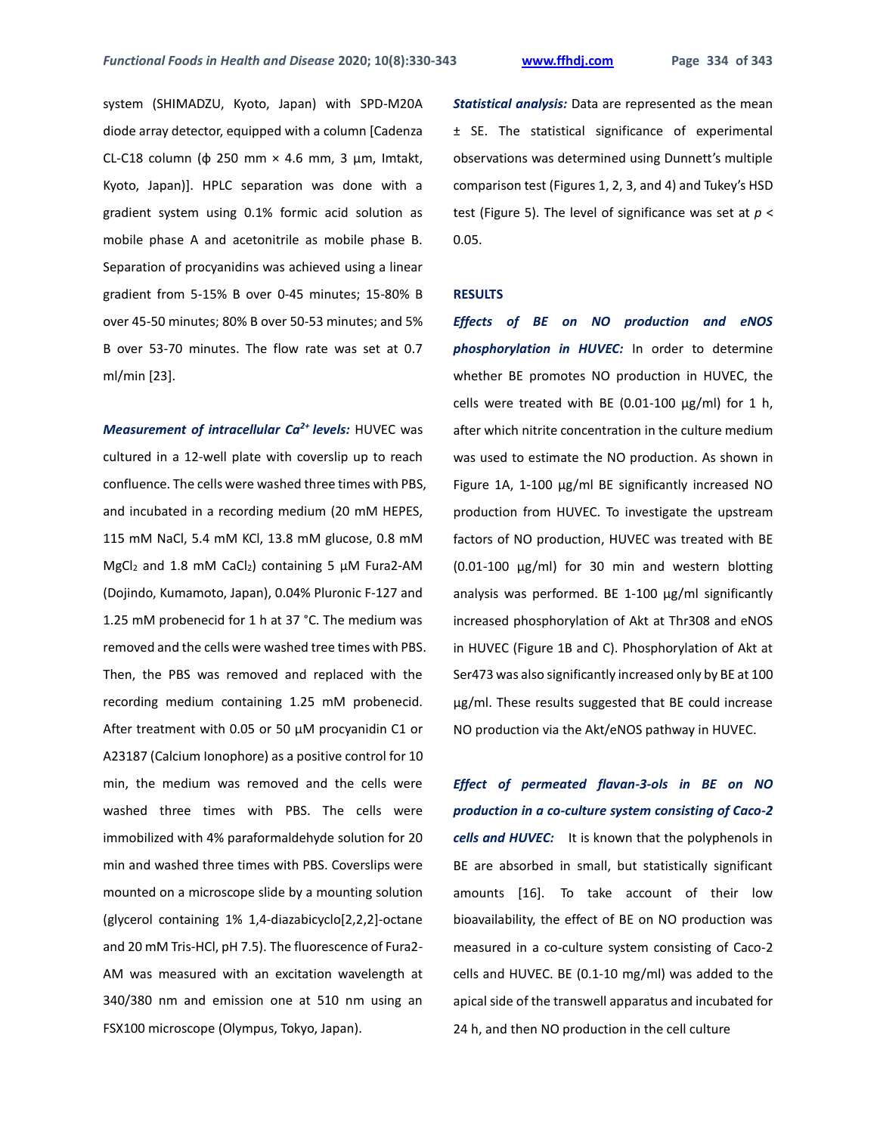system (SHIMADZU, Kyoto, Japan) with SPD-M20A diode array detector, equipped with a column [Cadenza CL-C18 column (φ 250 mm × 4.6 mm, 3 μm, Imtakt, Kyoto, Japan)]. HPLC separation was done with a gradient system using 0.1% formic acid solution as mobile phase A and acetonitrile as mobile phase B. Separation of procyanidins was achieved using a linear gradient from 5-15% B over 0-45 minutes; 15-80% B over 45-50 minutes; 80% B over 50-53 minutes; and 5% B over 53-70 minutes. The flow rate was set at 0.7 ml/min [23].

*Measurement of intracellular Ca2+ levels:* HUVEC was cultured in a 12-well plate with coverslip up to reach confluence. The cells were washed three times with PBS, and incubated in a recording medium (20 mM HEPES, 115 mM NaCl, 5.4 mM KCl, 13.8 mM glucose, 0.8 mM MgCl<sup>2</sup> and 1.8 mM CaCl2) containing 5 μM Fura2-AM (Dojindo, Kumamoto, Japan), 0.04% Pluronic F-127 and 1.25 mM probenecid for 1 h at 37 °C. The medium was removed and the cells were washed tree times with PBS. Then, the PBS was removed and replaced with the recording medium containing 1.25 mM probenecid. After treatment with 0.05 or 50 μM procyanidin C1 or A23187 (Calcium Ionophore) as a positive control for 10 min, the medium was removed and the cells were washed three times with PBS. The cells were immobilized with 4% paraformaldehyde solution for 20 min and washed three times with PBS. Coverslips were mounted on a microscope slide by a mounting solution (glycerol containing 1% 1,4-diazabicyclo[2,2,2]-octane and 20 mM Tris-HCl, pH 7.5). The fluorescence of Fura2- AM was measured with an excitation wavelength at 340/380 nm and emission one at 510 nm using an FSX100 microscope (Olympus, Tokyo, Japan).

*Statistical analysis:* Data are represented as the mean ± SE. The statistical significance of experimental observations was determined using Dunnett's multiple comparison test (Figures 1, 2, 3, and 4) and Tukey's HSD test (Figure 5). The level of significance was set at *p* < 0.05.

#### **RESULTS**

*Effects of BE on NO production and eNOS phosphorylation in HUVEC:* In order to determine whether BE promotes NO production in HUVEC, the cells were treated with BE (0.01-100  $\mu$ g/ml) for 1 h, after which nitrite concentration in the culture medium was used to estimate the NO production. As shown in Figure 1A, 1-100 µg/ml BE significantly increased NO production from HUVEC. To investigate the upstream factors of NO production, HUVEC was treated with BE (0.01-100 µg/ml) for 30 min and western blotting analysis was performed. BE 1-100 µg/ml significantly increased phosphorylation of Akt at Thr308 and eNOS in HUVEC (Figure 1B and C). Phosphorylation of Akt at Ser473 was also significantly increased only by BE at 100 µg/ml. These results suggested that BE could increase NO production via the Akt/eNOS pathway in HUVEC.

*Effect of permeated flavan-3-ols in BE on NO production in a co-culture system consisting of Caco-2 cells and HUVEC:* It is known that the polyphenols in BE are absorbed in small, but statistically significant amounts [16]. To take account of their low bioavailability, the effect of BE on NO production was measured in a co-culture system consisting of Caco-2 cells and HUVEC. BE (0.1-10 mg/ml) was added to the apical side of the transwell apparatus and incubated for 24 h, and then NO production in the cell culture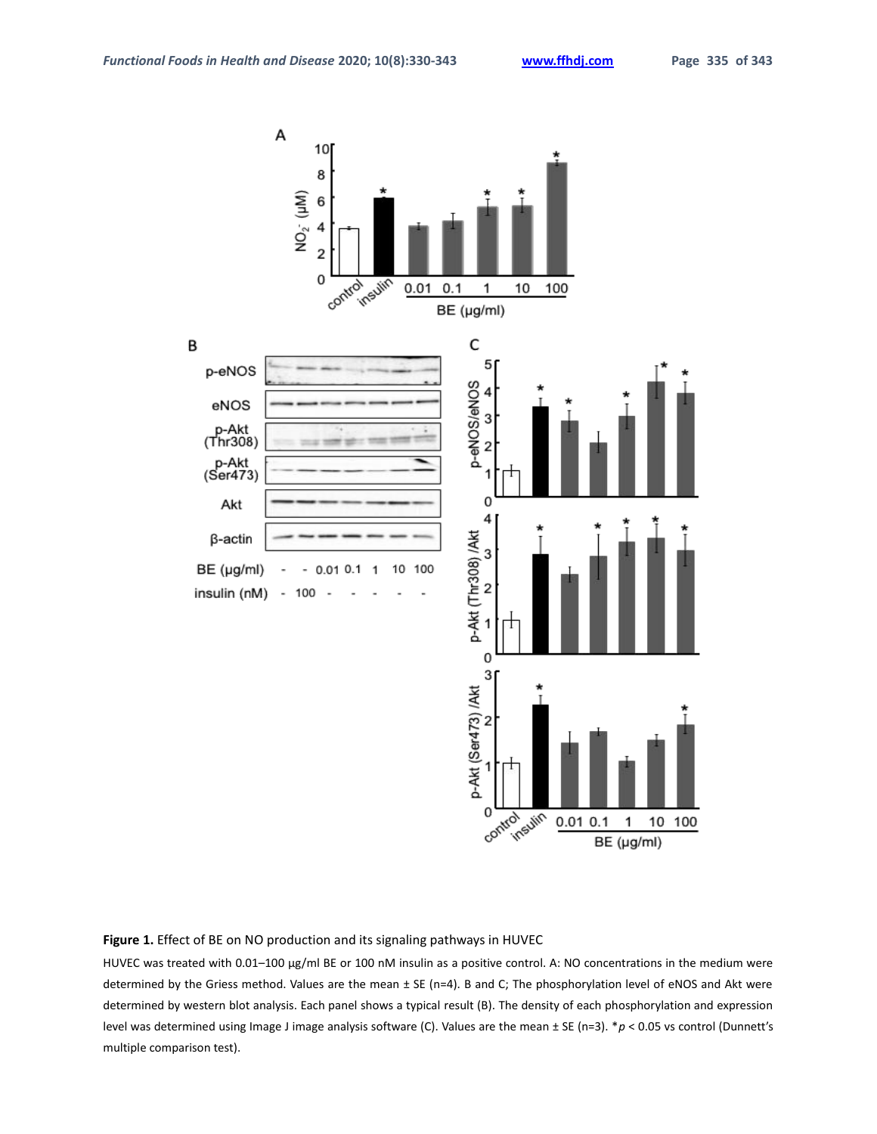

#### **Figure 1.** Effect of BE on NO production and its signaling pathways in HUVEC

HUVEC was treated with 0.01–100 μg/ml BE or 100 nM insulin as a positive control. A: NO concentrations in the medium were determined by the Griess method. Values are the mean ± SE (n=4). B and C; The phosphorylation level of eNOS and Akt were determined by western blot analysis. Each panel shows a typical result (B). The density of each phosphorylation and expression level was determined using Image J image analysis software (C). Values are the mean ± SE (n=3). \**p* < 0.05 vs control (Dunnett's multiple comparison test).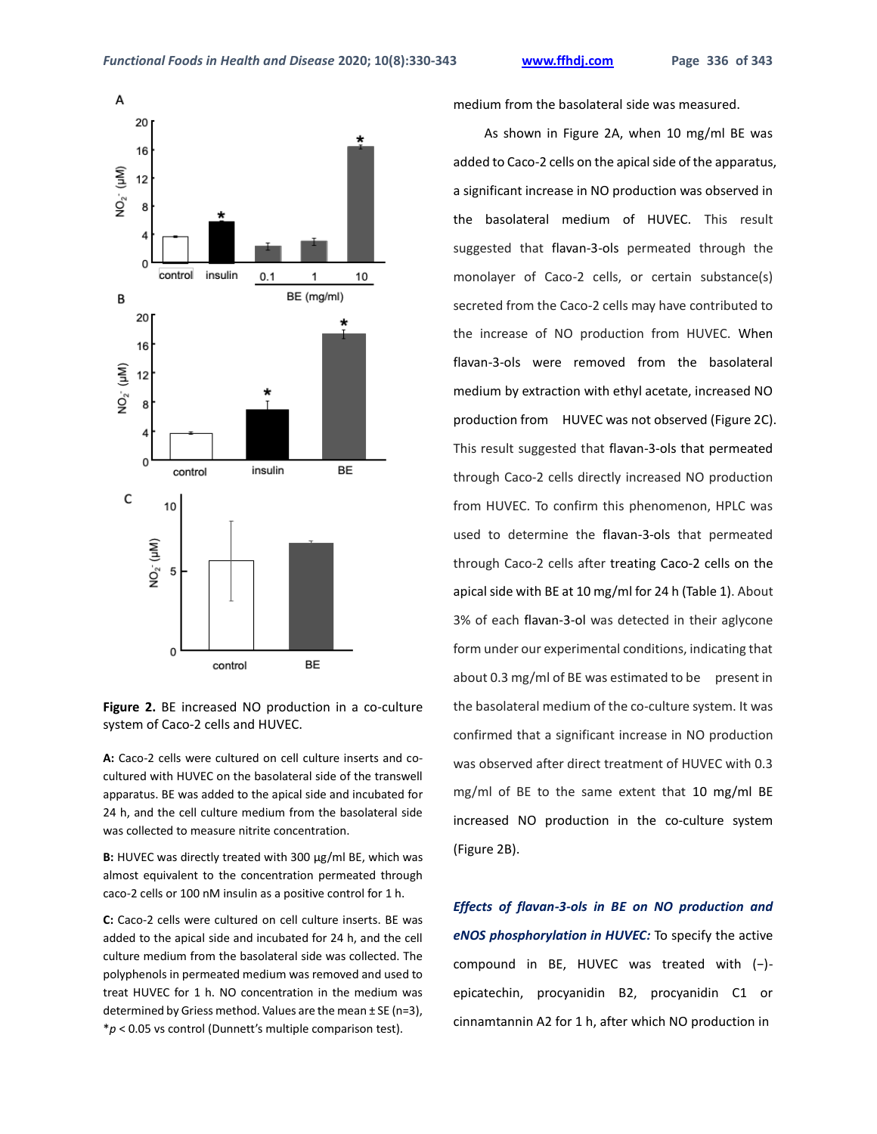

**Figure 2.** BE increased NO production in a co-culture system of Caco-2 cells and HUVEC.

**A:** Caco-2 cells were cultured on cell culture inserts and cocultured with HUVEC on the basolateral side of the transwell apparatus. BE was added to the apical side and incubated for 24 h, and the cell culture medium from the basolateral side was collected to measure nitrite concentration.

**B:** HUVEC was directly treated with 300 μg/ml BE, which was almost equivalent to the concentration permeated through caco-2 cells or 100 nM insulin as a positive control for 1 h.

**C:** Caco-2 cells were cultured on cell culture inserts. BE was added to the apical side and incubated for 24 h, and the cell culture medium from the basolateral side was collected. The polyphenols in permeated medium was removed and used to treat HUVEC for 1 h. NO concentration in the medium was determined by Griess method. Values are the mean ± SE (n=3), \**p* < 0.05 vs control (Dunnett's multiple comparison test).

medium from the basolateral side was measured.

As shown in Figure 2A, when 10 mg/ml BE was added to Caco-2 cells on the apical side of the apparatus, a significant increase in NO production was observed in the basolateral medium of HUVEC. This result suggested that flavan-3-ols permeated through the monolayer of Caco-2 cells, or certain substance(s) secreted from the Caco-2 cells may have contributed to the increase of NO production from HUVEC. When flavan-3-ols were removed from the basolateral medium by extraction with ethyl acetate, increased NO production from HUVEC was not observed (Figure 2C). This result suggested that flavan-3-ols that permeated through Caco-2 cells directly increased NO production from HUVEC. To confirm this phenomenon, HPLC was used to determine the flavan-3-ols that permeated through Caco-2 cells after treating Caco-2 cells on the apical side with BE at 10 mg/ml for 24 h (Table 1). About 3% of each flavan-3-ol was detected in their aglycone form under our experimental conditions, indicating that about 0.3 mg/ml of BE was estimated to be present in the basolateral medium of the co-culture system. It was confirmed that a significant increase in NO production was observed after direct treatment of HUVEC with 0.3 mg/ml of BE to the same extent that 10 mg/ml BE increased NO production in the co-culture system (Figure 2B).

*Effects of flavan-3-ols in BE on NO production and eNOS phosphorylation in HUVEC:* To specify the active compound in BE, HUVEC was treated with (−) epicatechin, procyanidin B2, procyanidin C1 or cinnamtannin A2 for 1 h, after which NO production in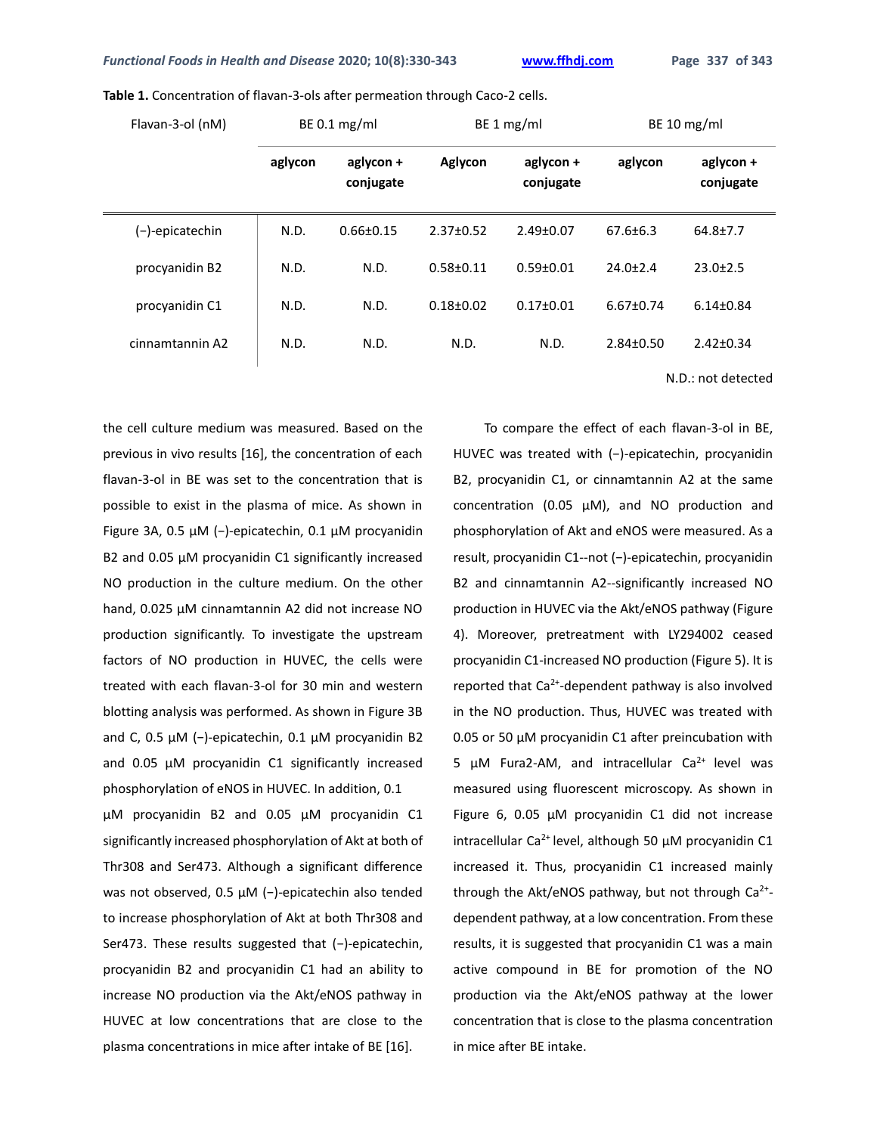| Flavan-3-ol (nM) | BE 0.1 $mg/ml$ |                        | BE 1 mg/ml      |                        | BE 10 $mg/ml$   |                        |
|------------------|----------------|------------------------|-----------------|------------------------|-----------------|------------------------|
|                  | aglycon        | aglycon +<br>conjugate | Aglycon         | aglycon +<br>conjugate | aglycon         | aglycon +<br>conjugate |
| (-)-epicatechin  | N.D.           | $0.66 \pm 0.15$        | $2.37 \pm 0.52$ | $2.49 \pm 0.07$        | $67.6 \pm 6.3$  | $64.8{\pm}7.7$         |
| procyanidin B2   | N.D.           | N.D.                   | $0.58 + 0.11$   | $0.59 \pm 0.01$        | $24.0 \pm 2.4$  | $23.0 \pm 2.5$         |
| procyanidin C1   | N.D.           | N.D.                   | $0.18 + 0.02$   | $0.17 \pm 0.01$        | $6.67 \pm 0.74$ | $6.14 \pm 0.84$        |
| cinnamtannin A2  | N.D.           | N.D.                   | N.D.            | N.D.                   | $2.84 \pm 0.50$ | $2.42 \pm 0.34$        |

**Table 1.** Concentration of flavan-3-ols after permeation through Caco-2 cells.

N.D.: not detected

the cell culture medium was measured. Based on the previous in vivo results [16], the concentration of each flavan-3-ol in BE was set to the concentration that is possible to exist in the plasma of mice. As shown in Figure 3A, 0.5 µM (−)-epicatechin, 0.1 µM procyanidin B2 and 0.05 µM procyanidin C1 significantly increased NO production in the culture medium. On the other hand, 0.025 µM cinnamtannin A2 did not increase NO production significantly. To investigate the upstream factors of NO production in HUVEC, the cells were treated with each flavan-3-ol for 30 min and western blotting analysis was performed. As shown in Figure 3B and C, 0.5 µM (−)-epicatechin, 0.1 µM procyanidin B2 and 0.05 µM procyanidin C1 significantly increased phosphorylation of eNOS in HUVEC. In addition, 0.1

µM procyanidin B2 and 0.05 µM procyanidin C1 significantly increased phosphorylation of Akt at both of Thr308 and Ser473. Although a significant difference was not observed, 0.5 µM (−)-epicatechin also tended to increase phosphorylation of Akt at both Thr308 and Ser473. These results suggested that (−)-epicatechin, procyanidin B2 and procyanidin C1 had an ability to increase NO production via the Akt/eNOS pathway in HUVEC at low concentrations that are close to the plasma concentrations in mice after intake of BE [16].

To compare the effect of each flavan-3-ol in BE, HUVEC was treated with (-)-epicatechin, procyanidin B2, procyanidin C1, or cinnamtannin A2 at the same concentration (0.05 µM), and NO production and phosphorylation of Akt and eNOS were measured. As a result, procyanidin C1--not (−)-epicatechin, procyanidin B2 and cinnamtannin A2--significantly increased NO production in HUVEC via the Akt/eNOS pathway (Figure 4). Moreover, pretreatment with LY294002 ceased procyanidin C1-increased NO production (Figure 5). It is reported that  $Ca^{2+}$ -dependent pathway is also involved in the NO production. Thus, HUVEC was treated with 0.05 or 50 µM procyanidin C1 after preincubation with 5  $\mu$ M Fura2-AM, and intracellular Ca<sup>2+</sup> level was measured using fluorescent microscopy. As shown in Figure 6, 0.05 µM procyanidin C1 did not increase intracellular Ca<sup>2+</sup> level, although 50  $\mu$ M procyanidin C1 increased it. Thus, procyanidin C1 increased mainly through the Akt/eNOS pathway, but not through  $\textsf{Ca}^{2+}$ dependent pathway, at a low concentration. From these results, it is suggested that procyanidin C1 was a main active compound in BE for promotion of the NO production via the Akt/eNOS pathway at the lower concentration that is close to the plasma concentration in mice after BE intake.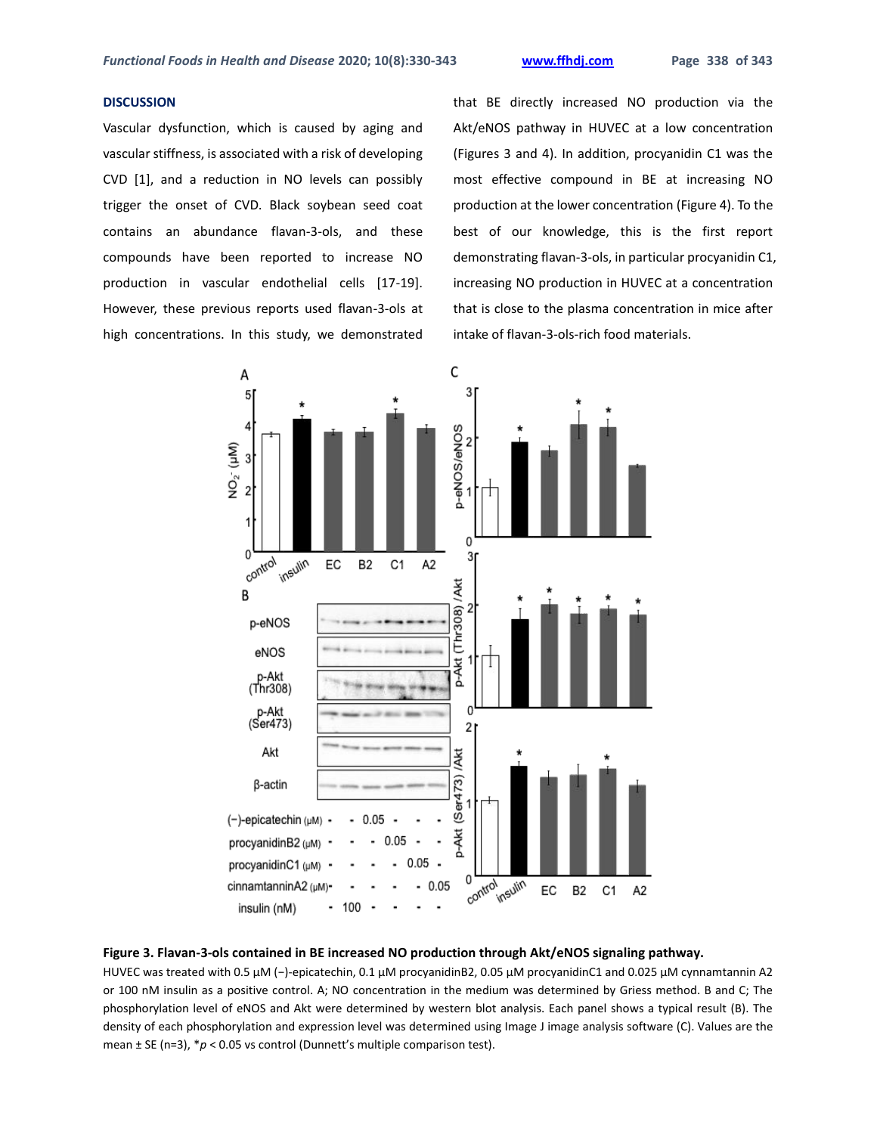## **DISCUSSION**

Vascular dysfunction, which is caused by aging and vascular stiffness, is associated with a risk of developing CVD [1], and a reduction in NO levels can possibly trigger the onset of CVD. Black soybean seed coat contains an abundance flavan-3-ols, and these compounds have been reported to increase NO production in vascular endothelial cells [17-19]. However, these previous reports used flavan-3-ols at high concentrations. In this study, we demonstrated

that BE directly increased NO production via the Akt/eNOS pathway in HUVEC at a low concentration (Figures 3 and 4). In addition, procyanidin C1 was the most effective compound in BE at increasing NO production at the lower concentration (Figure 4). To the best of our knowledge, this is the first report demonstrating flavan-3-ols, in particular procyanidin C1, increasing NO production in HUVEC at a concentration that is close to the plasma concentration in mice after intake of flavan-3-ols-rich food materials.



#### **Figure 3. Flavan-3-ols contained in BE increased NO production through Akt/eNOS signaling pathway.**

HUVEC was treated with 0.5 μM (−)-epicatechin, 0.1 μM procyanidinB2, 0.05 μM procyanidinC1 and 0.025 μM cynnamtannin A2 or 100 nM insulin as a positive control. A; NO concentration in the medium was determined by Griess method. B and C; The phosphorylation level of eNOS and Akt were determined by western blot analysis. Each panel shows a typical result (B). The density of each phosphorylation and expression level was determined using Image J image analysis software (C). Values are the mean ± SE (n=3), \**p* < 0.05 vs control (Dunnett's multiple comparison test).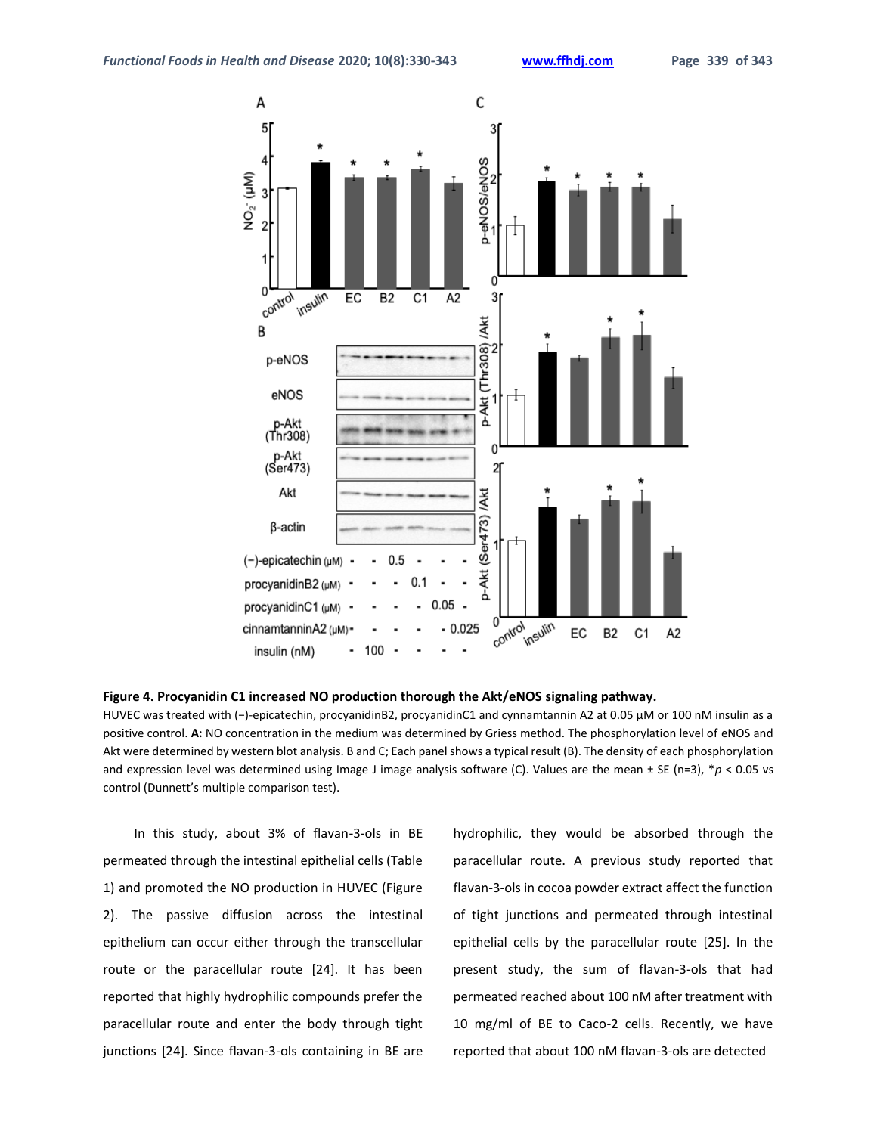

#### **Figure 4. Procyanidin C1 increased NO production thorough the Akt/eNOS signaling pathway.**

HUVEC was treated with (-)-epicatechin, procyanidinB2, procyanidinC1 and cynnamtannin A2 at 0.05 µM or 100 nM insulin as a positive control. **A:** NO concentration in the medium was determined by Griess method. The phosphorylation level of eNOS and Akt were determined by western blot analysis. B and C; Each panel shows a typical result (B). The density of each phosphorylation and expression level was determined using Image J image analysis software (C). Values are the mean ± SE (n=3), \*p < 0.05 vs control (Dunnett's multiple comparison test).

In this study, about 3% of flavan-3-ols in BE permeated through the intestinal epithelial cells (Table 1) and promoted the NO production in HUVEC (Figure 2). The passive diffusion across the intestinal epithelium can occur either through the transcellular route or the paracellular route [24]. It has been reported that highly hydrophilic compounds prefer the paracellular route and enter the body through tight junctions [24]. Since flavan-3-ols containing in BE are hydrophilic, they would be absorbed through the paracellular route. A previous study reported that flavan-3-ols in cocoa powder extract affect the function of tight junctions and permeated through intestinal epithelial cells by the paracellular route [25]. In the present study, the sum of flavan-3-ols that had permeated reached about 100 nM after treatment with 10 mg/ml of BE to Caco-2 cells. Recently, we have reported that about 100 nM flavan-3-ols are detected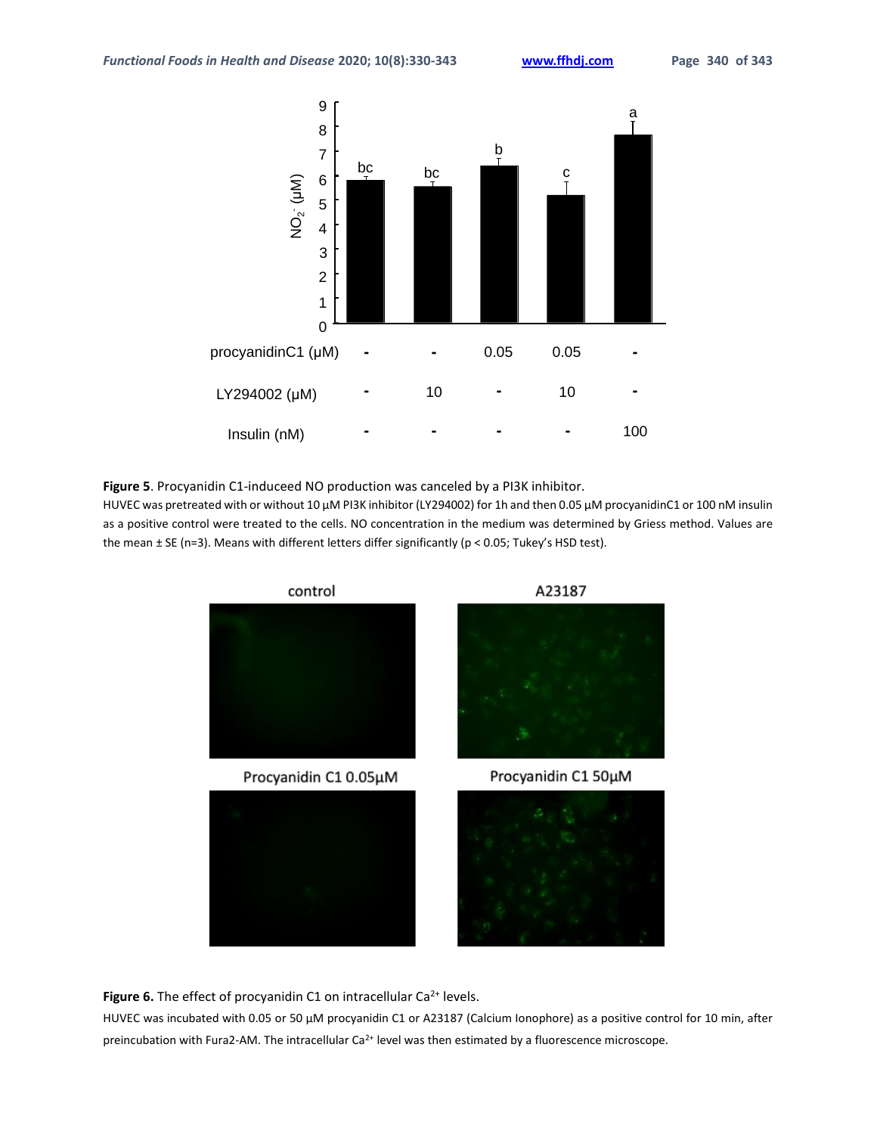

**Figure 5**. Procyanidin C1-induceed NO production was canceled by a PI3K inhibitor.

HUVEC was pretreated with or without 10 μM PI3K inhibitor (LY294002) for 1h and then 0.05 μM procyanidinC1 or 100 nM insulin as a positive control were treated to the cells. NO concentration in the medium was determined by Griess method. Values are the mean ± SE (n=3). Means with different letters differ significantly (p < 0.05; Tukey's HSD test).



Figure 6. The effect of procyanidin C1 on intracellular Ca<sup>2+</sup> levels.

HUVEC was incubated with 0.05 or 50 μM procyanidin C1 or A23187 (Calcium Ionophore) as a positive control for 10 min, after preincubation with Fura2-AM. The intracellular Ca<sup>2+</sup> level was then estimated by a fluorescence microscope.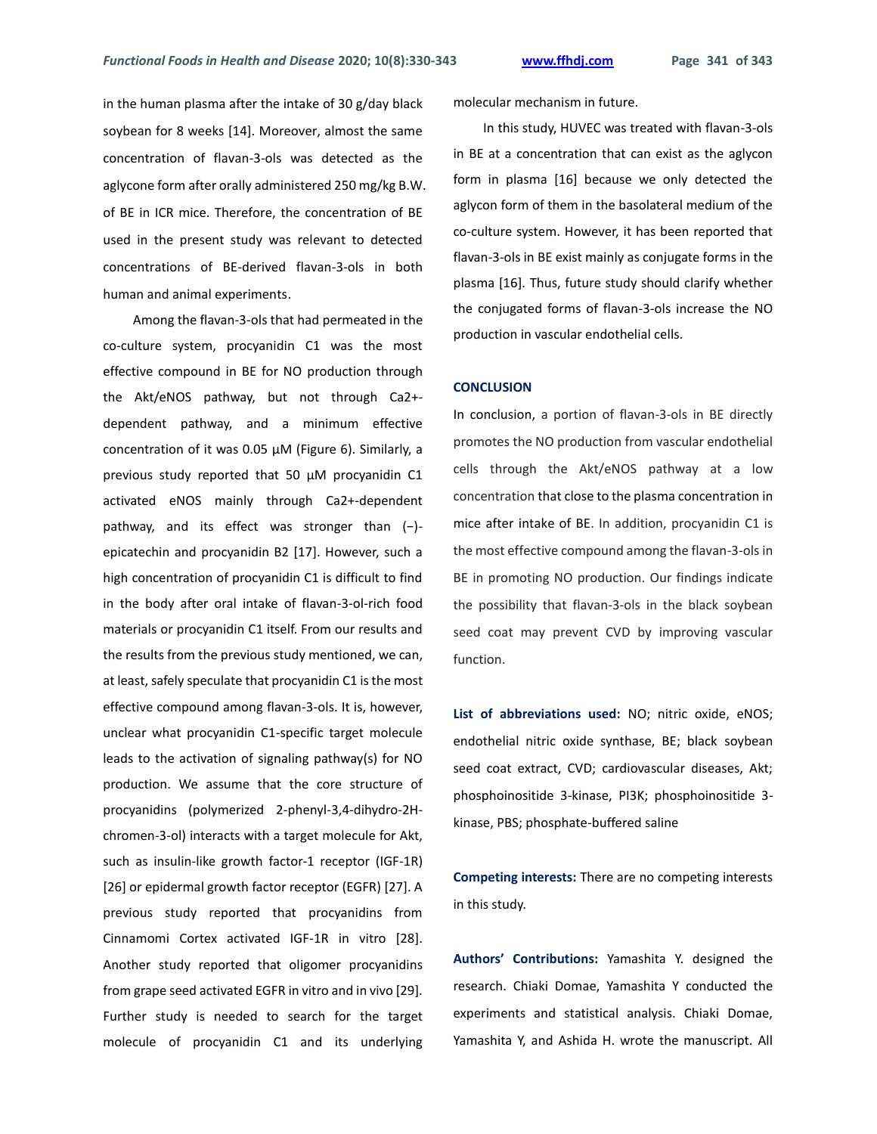in the human plasma after the intake of 30 g/day black soybean for 8 weeks [14]. Moreover, almost the same concentration of flavan-3-ols was detected as the aglycone form after orally administered 250 mg/kg B.W. of BE in ICR mice. Therefore, the concentration of BE used in the present study was relevant to detected concentrations of BE-derived flavan-3-ols in both human and animal experiments.

Among the flavan-3-ols that had permeated in the co-culture system, procyanidin C1 was the most effective compound in BE for NO production through the Akt/eNOS pathway, but not through Ca2+ dependent pathway, and a minimum effective concentration of it was 0.05 µM (Figure 6). Similarly, a previous study reported that 50 µM procyanidin C1 activated eNOS mainly through Ca2+-dependent pathway, and its effect was stronger than (−) epicatechin and procyanidin B2 [17]. However, such a high concentration of procyanidin C1 is difficult to find in the body after oral intake of flavan-3-ol-rich food materials or procyanidin C1 itself. From our results and the results from the previous study mentioned, we can, at least, safely speculate that procyanidin C1 is the most effective compound among flavan-3-ols. It is, however, unclear what procyanidin C1-specific target molecule leads to the activation of signaling pathway(s) for NO production. We assume that the core structure of procyanidins (polymerized 2-phenyl-3,4-dihydro-2Hchromen-3-ol) interacts with a target molecule for Akt, such as insulin-like growth factor-1 receptor (IGF-1R) [26] or epidermal growth factor receptor (EGFR) [27]. A previous study reported that procyanidins from Cinnamomi Cortex activated IGF-1R in vitro [28]. Another study reported that oligomer procyanidins from grape seed activated EGFR in vitro and in vivo [29]. Further study is needed to search for the target molecule of procyanidin C1 and its underlying

molecular mechanism in future.

In this study, HUVEC was treated with flavan-3-ols in BE at a concentration that can exist as the aglycon form in plasma [16] because we only detected the aglycon form of them in the basolateral medium of the co-culture system. However, it has been reported that flavan-3-ols in BE exist mainly as conjugate forms in the plasma [16]. Thus, future study should clarify whether the conjugated forms of flavan-3-ols increase the NO production in vascular endothelial cells.

#### **CONCLUSION**

In conclusion, a portion of flavan-3-ols in BE directly promotes the NO production from vascular endothelial cells through the Akt/eNOS pathway at a low concentration that close to the plasma concentration in mice after intake of BE. In addition, procyanidin C1 is the most effective compound among the flavan-3-ols in BE in promoting NO production. Our findings indicate the possibility that flavan-3-ols in the black soybean seed coat may prevent CVD by improving vascular function.

**List of abbreviations used:** NO; nitric oxide, eNOS; endothelial nitric oxide synthase, BE; black soybean seed coat extract, CVD; cardiovascular diseases, Akt; phosphoinositide 3-kinase, PI3K; phosphoinositide 3 kinase, PBS; phosphate-buffered saline

**Competing interests:** There are no competing interests in this study.

**Authors' Contributions:** Yamashita Y. designed the research. Chiaki Domae, Yamashita Y conducted the experiments and statistical analysis. Chiaki Domae, Yamashita Y, and Ashida H. wrote the manuscript. All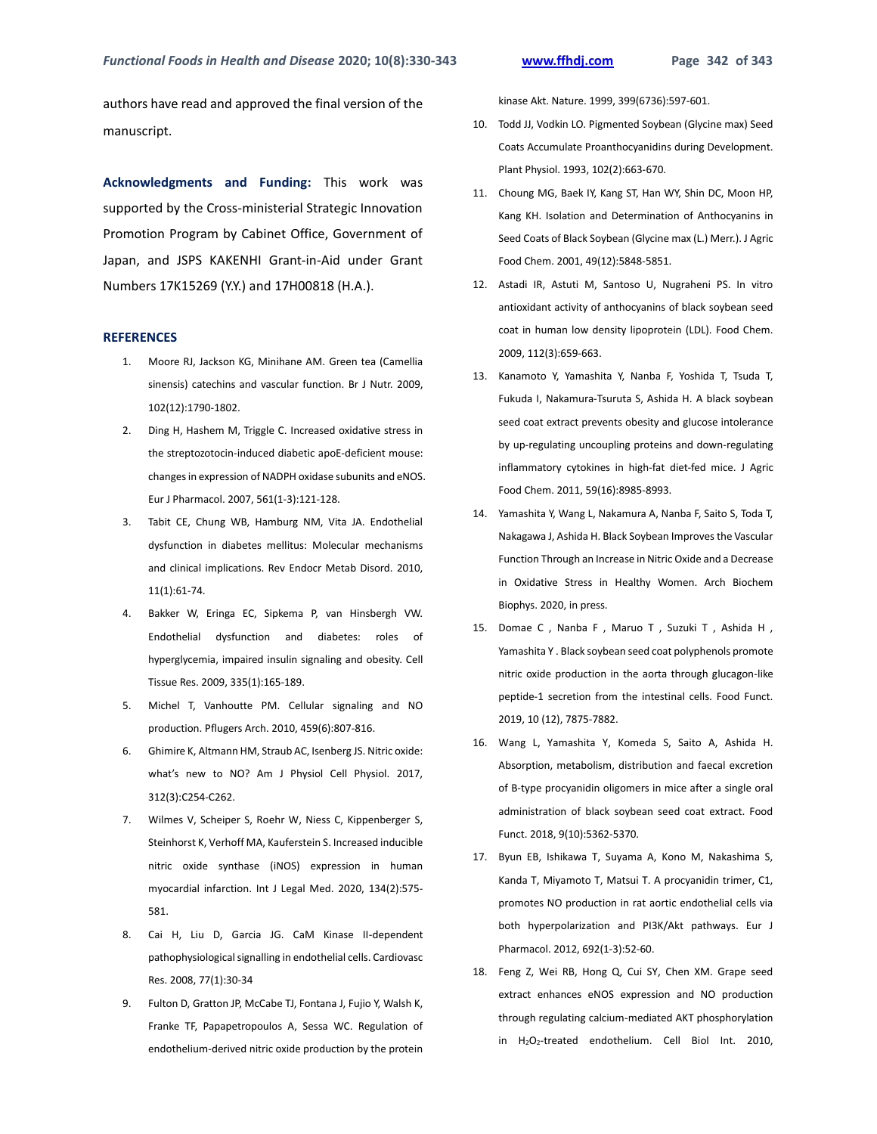authors have read and approved the final version of the manuscript.

**Acknowledgments and Funding:** This work was supported by the Cross-ministerial Strategic Innovation Promotion Program by Cabinet Office, Government of Japan, and JSPS KAKENHI Grant-in-Aid under Grant Numbers 17K15269 (Y.Y.) and 17H00818 (H.A.).

#### **REFERENCES**

- 1. Moore RJ, Jackson KG, Minihane AM. Green tea (Camellia sinensis) catechins and vascular function. Br J Nutr. 2009, 102(12):1790-1802.
- 2. Ding H, Hashem M, Triggle C. Increased oxidative stress in the streptozotocin-induced diabetic apoE-deficient mouse: changes in expression of NADPH oxidase subunits and eNOS. Eur J Pharmacol. 2007, 561(1-3):121-128.
- 3. Tabit CE, Chung WB, Hamburg NM, Vita JA. Endothelial dysfunction in diabetes mellitus: Molecular mechanisms and clinical implications. Rev Endocr Metab Disord. 2010, 11(1):61-74.
- 4. Bakker W, Eringa EC, Sipkema P, van Hinsbergh VW. Endothelial dysfunction and diabetes: roles of hyperglycemia, impaired insulin signaling and obesity. Cell Tissue Res. 2009, 335(1):165-189.
- 5. Michel T, Vanhoutte PM. Cellular signaling and NO production. Pflugers Arch. 2010, 459(6):807-816.
- 6. Ghimire K, Altmann HM, Straub AC, Isenberg JS. Nitric oxide: what's new to NO? Am J Physiol Cell Physiol. 2017, 312(3):C254-C262.
- 7. Wilmes V, Scheiper S, Roehr W, Niess C, Kippenberger S, Steinhorst K, Verhoff MA, Kauferstein S. Increased inducible nitric oxide synthase (iNOS) expression in human myocardial infarction. Int J Legal Med. 2020, 134(2):575- 581.
- 8. Cai H, Liu D, Garcia JG. CaM Kinase II-dependent pathophysiological signalling in endothelial cells. Cardiovasc Res. 2008, 77(1):30-34
- 9. Fulton D, Gratton JP, McCabe TJ, Fontana J, Fujio Y, Walsh K, Franke TF, Papapetropoulos A, Sessa WC. Regulation of endothelium-derived nitric oxide production by the protein

kinase Akt. Nature. 1999, 399(6736):597-601.

- 10. Todd JJ, Vodkin LO. Pigmented Soybean (Glycine max) Seed Coats Accumulate Proanthocyanidins during Development. Plant Physiol. 1993, 102(2):663-670.
- 11. Choung MG, Baek IY, Kang ST, Han WY, Shin DC, Moon HP, Kang KH. Isolation and Determination of Anthocyanins in Seed Coats of Black Soybean (Glycine max (L.) Merr.). J Agric Food Chem. 2001, 49(12):5848-5851.
- 12. Astadi IR, Astuti M, Santoso U, Nugraheni PS. In vitro antioxidant activity of anthocyanins of black soybean seed coat in human low density lipoprotein (LDL). Food Chem. 2009, 112(3):659-663.
- 13. Kanamoto Y, Yamashita Y, Nanba F, Yoshida T, Tsuda T, Fukuda I, Nakamura-Tsuruta S, Ashida H. A black soybean seed coat extract prevents obesity and glucose intolerance by up-regulating uncoupling proteins and down-regulating inflammatory cytokines in high-fat diet-fed mice. J Agric Food Chem. 2011, 59(16):8985-8993.
- 14. Yamashita Y, Wang L, Nakamura A, Nanba F, Saito S, Toda T, Nakagawa J, Ashida H. Black Soybean Improves the Vascular Function Through an Increase in Nitric Oxide and a Decrease in Oxidative Stress in Healthy Women. Arch Biochem Biophys. 2020, in press.
- 15. Domae C , Nanba F , Maruo T , Suzuki T , Ashida H , Yamashita Y . Black soybean seed coat polyphenols promote nitric oxide production in the aorta through glucagon-like peptide-1 secretion from the intestinal cells. Food Funct. 2019, 10 (12), 7875-7882.
- 16. Wang L, Yamashita Y, Komeda S, Saito A, Ashida H. Absorption, metabolism, distribution and faecal excretion of B-type procyanidin oligomers in mice after a single oral administration of black soybean seed coat extract. Food Funct. 2018, 9(10):5362-5370.
- 17. Byun EB, Ishikawa T, Suyama A, Kono M, Nakashima S, Kanda T, Miyamoto T, Matsui T. A procyanidin trimer, C1, promotes NO production in rat aortic endothelial cells via both hyperpolarization and PI3K/Akt pathways. Eur J Pharmacol. 2012, 692(1-3):52-60.
- 18. Feng Z, Wei RB, Hong Q, Cui SY, Chen XM. Grape seed extract enhances eNOS expression and NO production through regulating calcium-mediated AKT phosphorylation in H2O2-treated endothelium. Cell Biol Int. 2010,